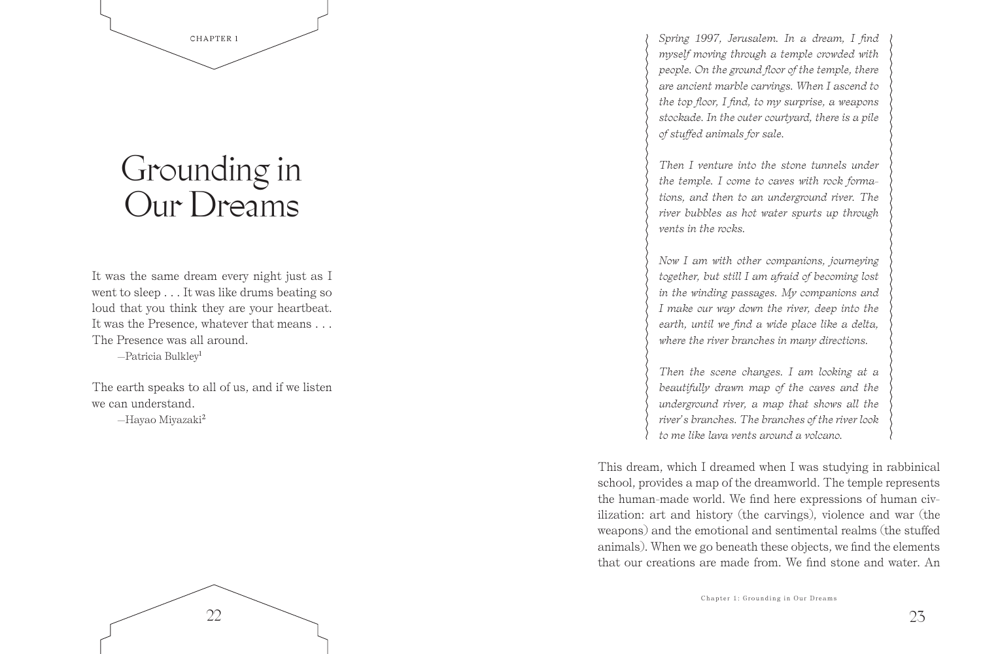

## Grounding in Our Dreams

It was the same dream every night just as I went to sleep . . . It was like drums beating so loud that you think they are your heartbeat. It was the Presence, whatever that means . . . The Presence was all around. —Patricia Bulkley<sup>1</sup>

The earth speaks to all of us, and if we listen we can understand. —Hayao Miyazaki<sup>2</sup>

22

*Spring 1997, Jerusalem. In a dream, I find myself moving through a temple crowded with people. On the ground floor of the temple, there are ancient marble carvings. When I ascend to the top floor, I find, to my surprise, a weapons stockade. In the outer courtyard, there is a pile of stuffed animals for sale.* 

*Then I venture into the stone tunnels under the temple. I come to caves with rock formations, and then to an underground river. The river bubbles as hot water spurts up through vents in the rocks.* 

*Now I am with other companions, journeying together, but still I am afraid of becoming lost in the winding passages. My companions and I make our way down the river, deep into the earth, until we find a wide place like a delta, where the river branches in many directions.* 

*Then the scene changes. I am looking at a beautifully drawn map of the caves and the underground river, a map that shows all the river's branches. The branches of the river look to me like lava vents around a volcano.* 

This dream, which I dreamed when I was studying in rabbinical school, provides a map of the dreamworld. The temple represents the human-made world. We find here expressions of human civilization: art and history (the carvings), violence and war (the weapons) and the emotional and sentimental realms (the stuffed animals). When we go beneath these objects, we find the elements that our creations are made from. We find stone and water. An

23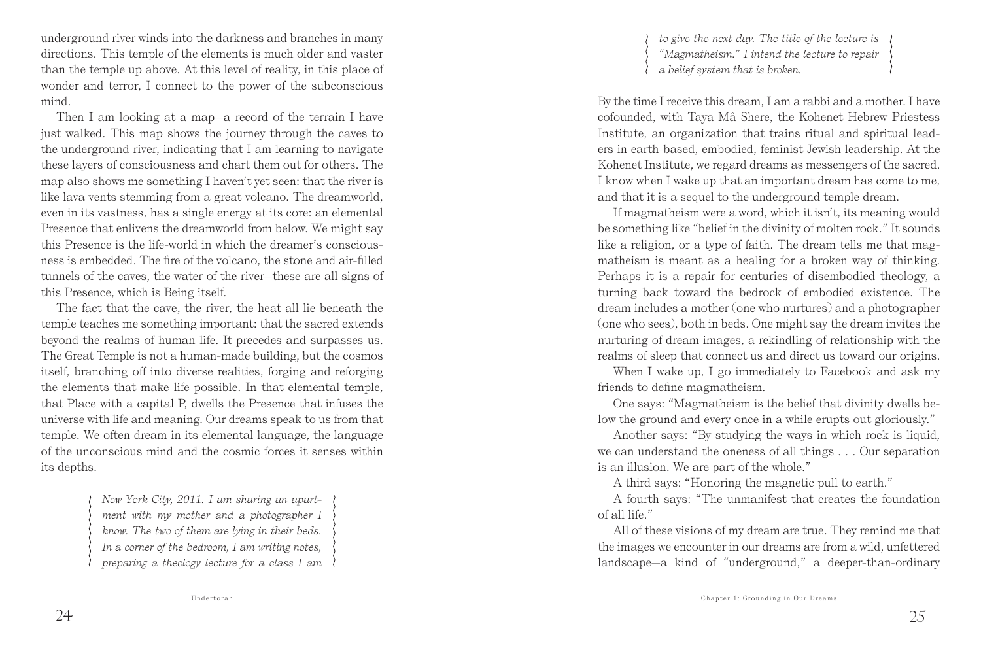underground river winds into the darkness and branches in many directions. This temple of the elements is much older and vaster than the temple up above. At this level of reality, in this place of wonder and terror, I connect to the power of the subconscious mind.

Then I am looking at a map—a record of the terrain I have just walked. This map shows the journey through the caves to the underground river, indicating that I am learning to navigate these layers of consciousness and chart them out for others. The map also shows me something I haven't yet seen: that the river is like lava vents stemming from a great volcano. The dreamworld, even in its vastness, has a single energy at its core: an elemental Presence that enlivens the dreamworld from below. We might say this Presence is the life-world in which the dreamer's consciousness is embedded. The fire of the volcano, the stone and air-filled tunnels of the caves, the water of the river—these are all signs of this Presence, which is Being itself.

The fact that the cave, the river, the heat all lie beneath the temple teaches me something important: that the sacred extends beyond the realms of human life. It precedes and surpasses us. The Great Temple is not a human-made building, but the cosmos itself, branching off into diverse realities, forging and reforging the elements that make life possible. In that elemental temple, that Place with a capital P, dwells the Presence that infuses the universe with life and meaning. Our dreams speak to us from that temple. We often dream in its elemental language, the language of the unconscious mind and the cosmic forces it senses within its depths.

> *New York City, 2011. I am sharing an apartment with my mother and a photographer I know. The two of them are lying in their beds. In a corner of the bedroom, I am writing notes, preparing a theology lecture for a class I am*

*to give the next day. The title of the lecture is "Magmatheism." I intend the lecture to repair a belief system that is broken.* 

By the time I receive this dream, I am a rabbi and a mother. I have cofounded, with Taya Mâ Shere, the Kohenet Hebrew Priestess Institute, an organization that trains ritual and spiritual leaders in earth-based, embodied, feminist Jewish leadership. At the Kohenet Institute, we regard dreams as messengers of the sacred. I know when I wake up that an important dream has come to me, and that it is a sequel to the underground temple dream.

If magmatheism were a word, which it isn't, its meaning would be something like "belief in the divinity of molten rock." It sounds like a religion, or a type of faith. The dream tells me that magmatheism is meant as a healing for a broken way of thinking. Perhaps it is a repair for centuries of disembodied theology, a turning back toward the bedrock of embodied existence. The dream includes a mother (one who nurtures) and a photographer (one who sees), both in beds. One might say the dream invites the nurturing of dream images, a rekindling of relationship with the realms of sleep that connect us and direct us toward our origins.

When I wake up, I go immediately to Facebook and ask my friends to define magmatheism.

One says: "Magmatheism is the belief that divinity dwells below the ground and every once in a while erupts out gloriously."

Another says: "By studying the ways in which rock is liquid, we can understand the oneness of all things . . . Our separation is an illusion. We are part of the whole."

A third says: "Honoring the magnetic pull to earth."

A fourth says: "The unmanifest that creates the foundation of all life."

All of these visions of my dream are true. They remind me that the images we encounter in our dreams are from a wild, unfettered landscape—a kind of "underground," a deeper-than-ordinary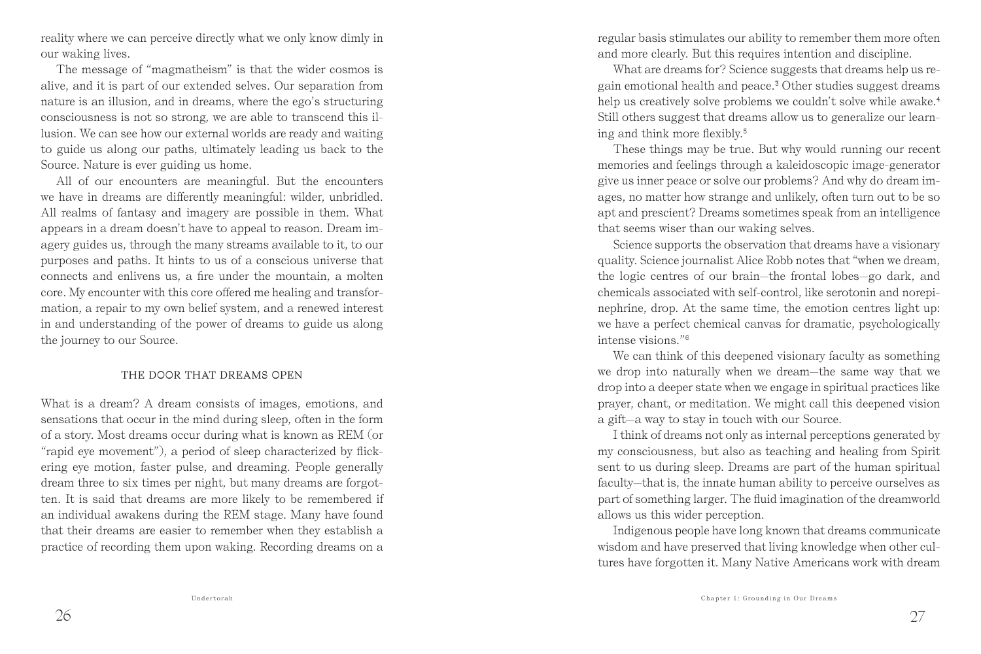reality where we can perceive directly what we only know dimly in our waking lives.

The message of "magmatheism" is that the wider cosmos is alive, and it is part of our extended selves. Our separation from nature is an illusion, and in dreams, where the ego's structuring consciousness is not so strong, we are able to transcend this illusion. We can see how our external worlds are ready and waiting to guide us along our paths, ultimately leading us back to the Source. Nature is ever guiding us home.

All of our encounters are meaningful. But the encounters we have in dreams are differently meaningful: wilder, unbridled. All realms of fantasy and imagery are possible in them. What appears in a dream doesn't have to appeal to reason. Dream imagery guides us, through the many streams available to it, to our purposes and paths. It hints to us of a conscious universe that connects and enlivens us, a fire under the mountain, a molten core. My encounter with this core offered me healing and transformation, a repair to my own belief system, and a renewed interest in and understanding of the power of dreams to guide us along the journey to our Source.

## THE DOOR THAT DREAMS OPEN

What is a dream? A dream consists of images, emotions, and sensations that occur in the mind during sleep, often in the form of a story. Most dreams occur during what is known as REM (or "rapid eye movement"), a period of sleep characterized by flickering eye motion, faster pulse, and dreaming. People generally dream three to six times per night, but many dreams are forgotten. It is said that dreams are more likely to be remembered if an individual awakens during the REM stage. Many have found that their dreams are easier to remember when they establish a practice of recording them upon waking. Recording dreams on a

regular basis stimulates our ability to remember them more often and more clearly. But this requires intention and discipline.

What are dreams for? Science suggests that dreams help us regain emotional health and peace.3 Other studies suggest dreams help us creatively solve problems we couldn't solve while awake.<sup>4</sup> Still others suggest that dreams allow us to generalize our learning and think more flexibly.<sup>5</sup>

These things may be true. But why would running our recent memories and feelings through a kaleidoscopic image-generator give us inner peace or solve our problems? And why do dream images, no matter how strange and unlikely, often turn out to be so apt and prescient? Dreams sometimes speak from an intelligence that seems wiser than our waking selves.

Science supports the observation that dreams have a visionary quality. Science journalist Alice Robb notes that "when we dream, the logic centres of our brain—the frontal lobes—go dark, and chemicals associated with self-control, like serotonin and norepinephrine, drop. At the same time, the emotion centres light up: we have a perfect chemical canvas for dramatic, psychologically intense visions."<sup>6</sup>

We can think of this deepened visionary faculty as something we drop into naturally when we dream—the same way that we drop into a deeper state when we engage in spiritual practices like prayer, chant, or meditation. We might call this deepened vision a gift—a way to stay in touch with our Source.

I think of dreams not only as internal perceptions generated by my consciousness, but also as teaching and healing from Spirit sent to us during sleep. Dreams are part of the human spiritual faculty—that is, the innate human ability to perceive ourselves as part of something larger. The fluid imagination of the dreamworld allows us this wider perception.

Indigenous people have long known that dreams communicate wisdom and have preserved that living knowledge when other cultures have forgotten it. Many Native Americans work with dream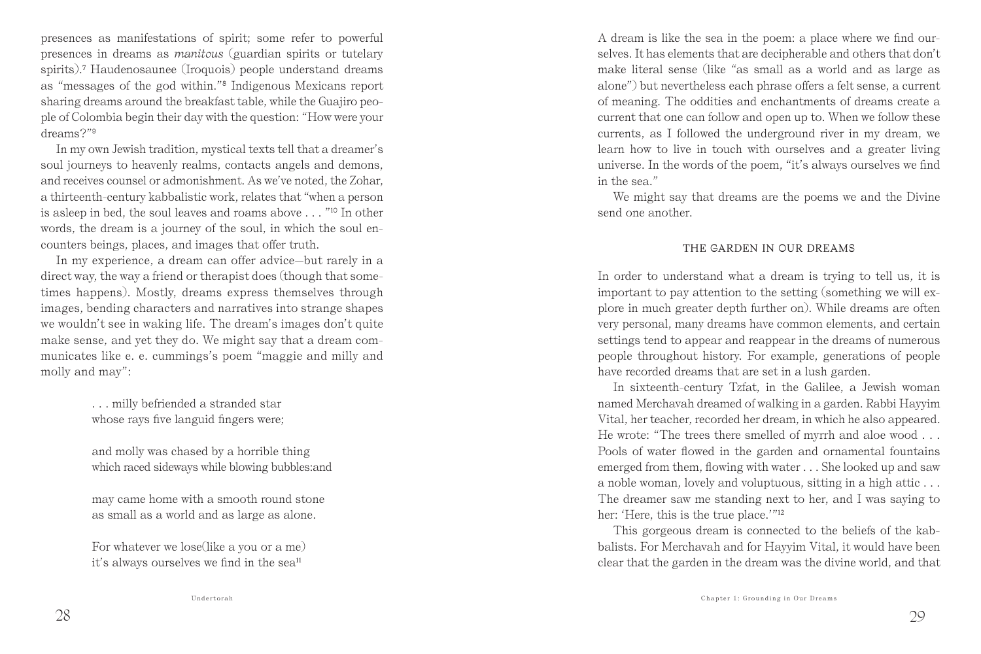presences as manifestations of spirit; some refer to powerful presences in dreams as *manitous* (guardian spirits or tutelary spirits). 7 Haudenosaunee (Iroquois) people understand dreams as "messages of the god within."8 Indigenous Mexicans report sharing dreams around the breakfast table, while the Guajiro people of Colombia begin their day with the question: "How were your dreams?"<sup>9</sup>

In my own Jewish tradition, mystical texts tell that a dreamer's soul journeys to heavenly realms, contacts angels and demons, and receives counsel or admonishment. As we've noted, the Zohar, a thirteenth-century kabbalistic work, relates that "when a person is asleep in bed, the soul leaves and roams above . . . "10 In other words, the dream is a journey of the soul, in which the soul encounters beings, places, and images that offer truth.

In my experience, a dream can offer advice—but rarely in a direct way, the way a friend or therapist does (though that sometimes happens). Mostly, dreams express themselves through images, bending characters and narratives into strange shapes we wouldn't see in waking life. The dream's images don't quite make sense, and yet they do. We might say that a dream communicates like e. e. cummings's poem "maggie and milly and molly and may":

> . . . milly befriended a stranded star whose rays five languid fingers were;

and molly was chased by a horrible thing which raced sideways while blowing bubbles:and

may came home with a smooth round stone as small as a world and as large as alone.

For whatever we lose(like a you or a me) it's always ourselves we find in the sea<sup>11</sup>

A dream is like the sea in the poem: a place where we find ourselves. It has elements that are decipherable and others that don't make literal sense (like "as small as a world and as large as alone") but nevertheless each phrase offers a felt sense, a current of meaning. The oddities and enchantments of dreams create a current that one can follow and open up to. When we follow these currents, as I followed the underground river in my dream, we learn how to live in touch with ourselves and a greater living universe. In the words of the poem, "it's always ourselves we find in the sea."

We might say that dreams are the poems we and the Divine send one another.

## THE GARDEN IN OUR DREAMS

In order to understand what a dream is trying to tell us, it is important to pay attention to the setting (something we will explore in much greater depth further on). While dreams are often very personal, many dreams have common elements, and certain settings tend to appear and reappear in the dreams of numerous people throughout history. For example, generations of people have recorded dreams that are set in a lush garden.

In sixteenth-century Tzfat, in the Galilee, a Jewish woman named Merchavah dreamed of walking in a garden. Rabbi Hayyim Vital, her teacher, recorded her dream, in which he also appeared. He wrote: "The trees there smelled of myrrh and aloe wood . . . Pools of water flowed in the garden and ornamental fountains emerged from them, flowing with water . . . She looked up and saw a noble woman, lovely and voluptuous, sitting in a high attic . . . The dreamer saw me standing next to her, and I was saying to her: 'Here, this is the true place.'"<sup>12</sup>

This gorgeous dream is connected to the beliefs of the kabbalists. For Merchavah and for Hayyim Vital, it would have been clear that the garden in the dream was the divine world, and that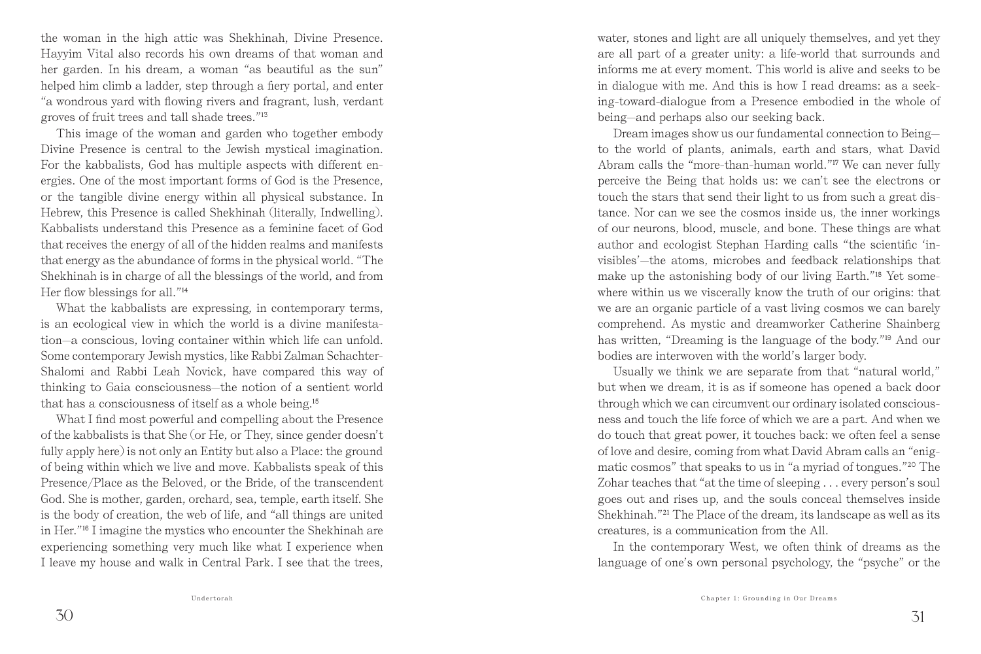the woman in the high attic was Shekhinah, Divine Presence. Hayyim Vital also records his own dreams of that woman and her garden. In his dream, a woman "as beautiful as the sun" helped him climb a ladder, step through a fiery portal, and enter "a wondrous yard with flowing rivers and fragrant, lush, verdant groves of fruit trees and tall shade trees."<sup>13</sup>

This image of the woman and garden who together embody Divine Presence is central to the Jewish mystical imagination. For the kabbalists, God has multiple aspects with different energies. One of the most important forms of God is the Presence, or the tangible divine energy within all physical substance. In Hebrew, this Presence is called Shekhinah (literally, Indwelling). Kabbalists understand this Presence as a feminine facet of God that receives the energy of all of the hidden realms and manifests that energy as the abundance of forms in the physical world. "The Shekhinah is in charge of all the blessings of the world, and from Her flow blessings for all."<sup>14</sup>

What the kabbalists are expressing, in contemporary terms, is an ecological view in which the world is a divine manifestation—a conscious, loving container within which life can unfold. Some contemporary Jewish mystics, like Rabbi Zalman Schachter-Shalomi and Rabbi Leah Novick, have compared this way of thinking to Gaia consciousness—the notion of a sentient world that has a consciousness of itself as a whole being.<sup>15</sup>

What I find most powerful and compelling about the Presence of the kabbalists is that She (or He, or They, since gender doesn't fully apply here) is not only an Entity but also a Place: the ground of being within which we live and move. Kabbalists speak of this Presence/Place as the Beloved, or the Bride, of the transcendent God. She is mother, garden, orchard, sea, temple, earth itself. She is the body of creation, the web of life, and "all things are united in Her."16 I imagine the mystics who encounter the Shekhinah are experiencing something very much like what I experience when I leave my house and walk in Central Park. I see that the trees,

water, stones and light are all uniquely themselves, and yet they are all part of a greater unity: a life-world that surrounds and informs me at every moment. This world is alive and seeks to be in dialogue with me. And this is how I read dreams: as a seeking-toward-dialogue from a Presence embodied in the whole of being—and perhaps also our seeking back.

Dream images show us our fundamental connection to Being to the world of plants, animals, earth and stars, what David Abram calls the "more-than-human world."17 We can never fully perceive the Being that holds us: we can't see the electrons or touch the stars that send their light to us from such a great distance. Nor can we see the cosmos inside us, the inner workings of our neurons, blood, muscle, and bone. These things are what author and ecologist Stephan Harding calls "the scientific 'invisibles'—the atoms, microbes and feedback relationships that make up the astonishing body of our living Earth."18 Yet somewhere within us we viscerally know the truth of our origins: that we are an organic particle of a vast living cosmos we can barely comprehend. As mystic and dreamworker Catherine Shainberg has written, "Dreaming is the language of the body."19 And our bodies are interwoven with the world's larger body.

Usually we think we are separate from that "natural world," but when we dream, it is as if someone has opened a back door through which we can circumvent our ordinary isolated consciousness and touch the life force of which we are a part. And when we do touch that great power, it touches back: we often feel a sense of love and desire, coming from what David Abram calls an "enigmatic cosmos" that speaks to us in "a myriad of tongues."20 The Zohar teaches that "at the time of sleeping . . . every person's soul goes out and rises up, and the souls conceal themselves inside Shekhinah."21 The Place of the dream, its landscape as well as its creatures, is a communication from the All.

In the contemporary West, we often think of dreams as the language of one's own personal psychology, the "psyche" or the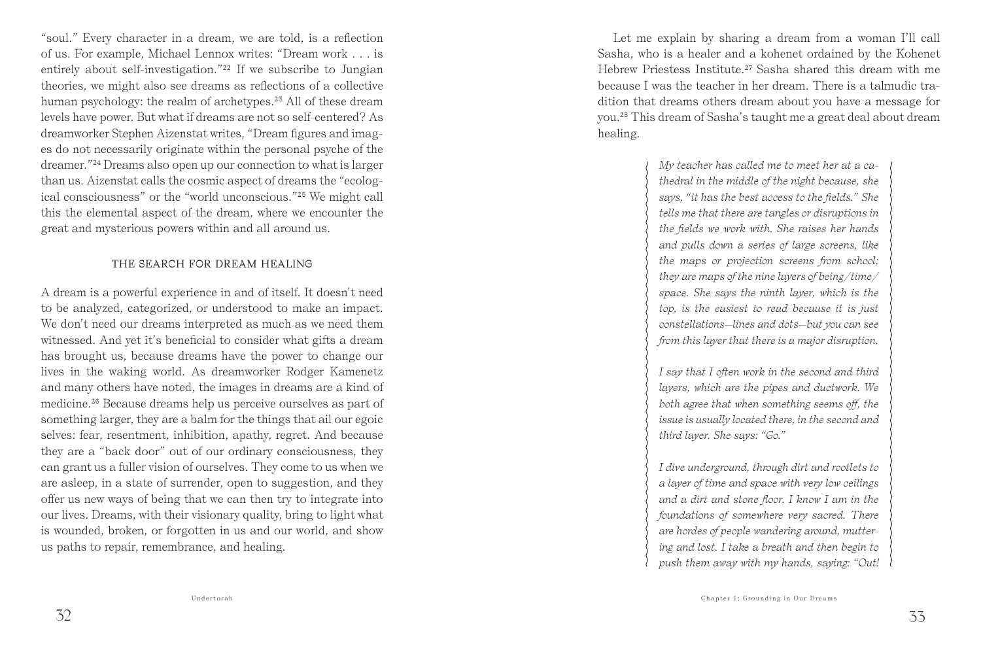"soul." Every character in a dream, we are told, is a reflection of us. For example, Michael Lennox writes: "Dream work . . . is entirely about self-investigation."22 If we subscribe to Jungian theories, we might also see dreams as reflections of a collective human psychology: the realm of archetypes.<sup>23</sup> All of these dream levels have power. But what if dreams are not so self-centered? As dreamworker Stephen Aizenstat writes, "Dream figures and images do not necessarily originate within the personal psyche of the dreamer."24 Dreams also open up our connection to what is larger than us. Aizenstat calls the cosmic aspect of dreams the "ecological consciousness" or the "world unconscious."25 We might call this the elemental aspect of the dream, where we encounter the great and mysterious powers within and all around us.

## THE SEARCH FOR DREAM HEALING

A dream is a powerful experience in and of itself. It doesn't need to be analyzed, categorized, or understood to make an impact. We don't need our dreams interpreted as much as we need them witnessed. And yet it's beneficial to consider what gifts a dream has brought us, because dreams have the power to change our lives in the waking world. As dreamworker Rodger Kamenetz and many others have noted, the images in dreams are a kind of medicine.26 Because dreams help us perceive ourselves as part of something larger, they are a balm for the things that ail our egoic selves: fear, resentment, inhibition, apathy, regret. And because they are a "back door" out of our ordinary consciousness, they can grant us a fuller vision of ourselves. They come to us when we are asleep, in a state of surrender, open to suggestion, and they offer us new ways of being that we can then try to integrate into our lives. Dreams, with their visionary quality, bring to light what is wounded, broken, or forgotten in us and our world, and show us paths to repair, remembrance, and healing.

Let me explain by sharing a dream from a woman I'll call Sasha, who is a healer and a kohenet ordained by the Kohenet Hebrew Priestess Institute.<sup>27</sup> Sasha shared this dream with me because I was the teacher in her dream. There is a talmudic tradition that dreams others dream about you have a message for you.28 This dream of Sasha's taught me a great deal about dream healing.

> *My teacher has called me to meet her at a cathedral in the middle of the night because, she says, "it has the best access to the fields." She tells me that there are tangles or disruptions in the fields we work with. She raises her hands and pulls down a series of large screens, like the maps or projection screens from school; they are maps of the nine layers of being/time/ space. She says the ninth layer, which is the top, is the easiest to read because it is just constellations—lines and dots—but you can see from this layer that there is a major disruption.*

*I say that I often work in the second and third layers, which are the pipes and ductwork. We both agree that when something seems off, the issue is usually located there, in the second and third layer. She says: "Go."*

*I dive underground, through dirt and rootlets to a layer of time and space with very low ceilings and a dirt and stone floor. I know I am in the foundations of somewhere very sacred. There are hordes of people wandering around, muttering and lost. I take a breath and then begin to push them away with my hands, saying: "Out!*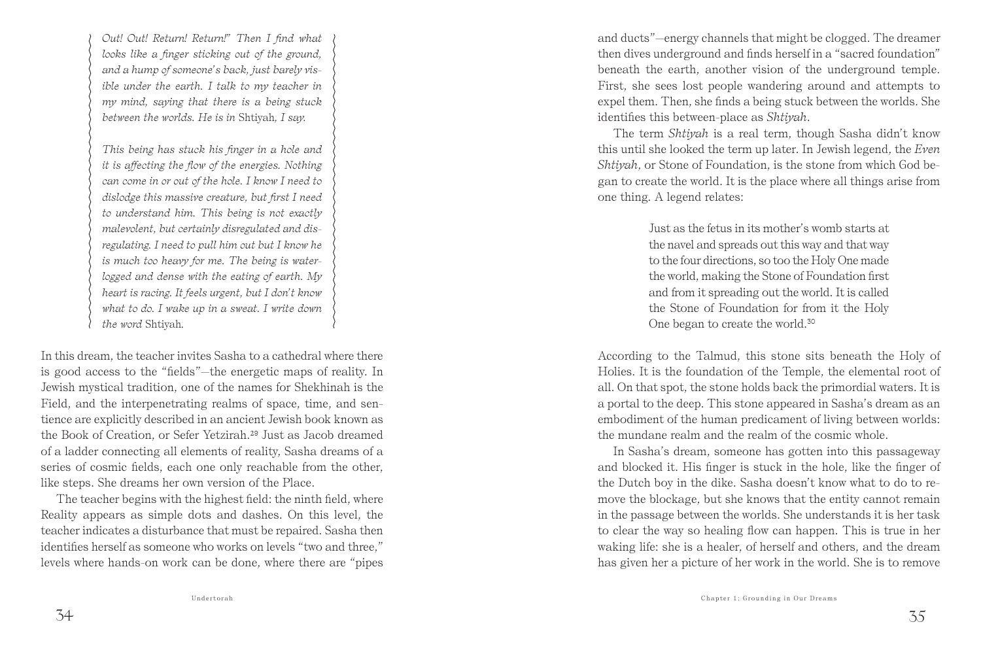*Out! Out! Return! Return!" Then I find what looks like a finger sticking out of the ground, and a hump of someone's back, just barely visible under the earth. I talk to my teacher in my mind, saying that there is a being stuck between the worlds. He is in* Shtiyah*, I say.*

*This being has stuck his finger in a hole and it is affecting the flow of the energies. Nothing can come in or out of the hole. I know I need to dislodge this massive creature, but first I need to understand him. This being is not exactly malevolent, but certainly disregulated and disregulating. I need to pull him out but I know he is much too heavy for me. The being is waterlogged and dense with the eating of earth. My heart is racing. It feels urgent, but I don't know what to do. I wake up in a sweat. I write down the word* Shtiyah*.*

In this dream, the teacher invites Sasha to a cathedral where there is good access to the "fields"—the energetic maps of reality. In Jewish mystical tradition, one of the names for Shekhinah is the Field, and the interpenetrating realms of space, time, and sentience are explicitly described in an ancient Jewish book known as the Book of Creation, or Sefer Yetzirah.29 Just as Jacob dreamed of a ladder connecting all elements of reality, Sasha dreams of a series of cosmic fields, each one only reachable from the other, like steps. She dreams her own version of the Place.

The teacher begins with the highest field: the ninth field, where Reality appears as simple dots and dashes. On this level, the teacher indicates a disturbance that must be repaired. Sasha then identifies herself as someone who works on levels "two and three," levels where hands-on work can be done, where there are "pipes

and ducts"—energy channels that might be clogged. The dreamer then dives underground and finds herself in a "sacred foundation" beneath the earth, another vision of the underground temple. First, she sees lost people wandering around and attempts to expel them. Then, she finds a being stuck between the worlds. She identifies this between-place as *Shtiyah*.

The term *Shtiyah* is a real term, though Sasha didn't know this until she looked the term up later. In Jewish legend, the *Even Shtiyah*, or Stone of Foundation, is the stone from which God began to create the world. It is the place where all things arise from one thing. A legend relates:

> Just as the fetus in its mother's womb starts at the navel and spreads out this way and that way to the four directions, so too the Holy One made the world, making the Stone of Foundation first and from it spreading out the world. It is called the Stone of Foundation for from it the Holy One began to create the world.<sup>30</sup>

According to the Talmud, this stone sits beneath the Holy of Holies. It is the foundation of the Temple, the elemental root of all. On that spot, the stone holds back the primordial waters. It is a portal to the deep. This stone appeared in Sasha's dream as an embodiment of the human predicament of living between worlds: the mundane realm and the realm of the cosmic whole.

In Sasha's dream, someone has gotten into this passageway and blocked it. His finger is stuck in the hole, like the finger of the Dutch boy in the dike. Sasha doesn't know what to do to remove the blockage, but she knows that the entity cannot remain in the passage between the worlds. She understands it is her task to clear the way so healing flow can happen. This is true in her waking life: she is a healer, of herself and others, and the dream has given her a picture of her work in the world. She is to remove